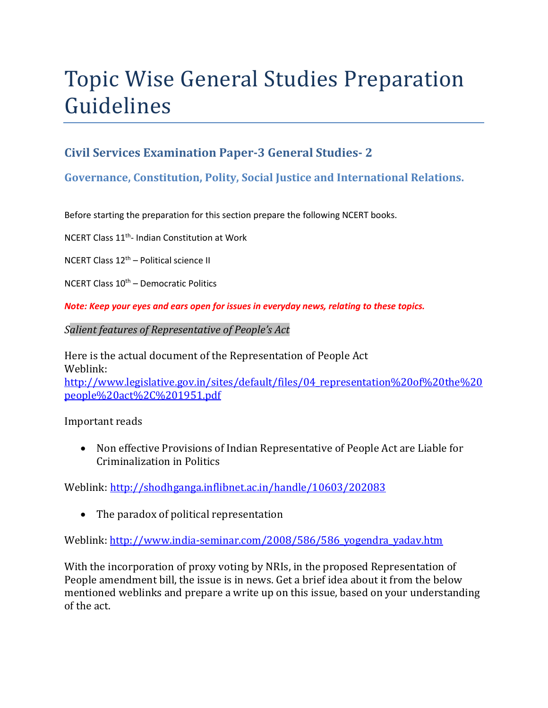# Topic Wise General Studies Preparation Guidelines

## **Civil Services Examination Paper-3 General Studies- 2**

### **Governance, Constitution, Polity, Social Justice and International Relations.**

Before starting the preparation for this section prepare the following NCERT books.

NCERT Class 11th- Indian Constitution at Work

NCERT Class 12th – Political science II

NCERT Class  $10^{th}$  – Democratic Politics

*Note: Keep your eyes and ears open for issues in everyday news, relating to these topics.* 

*Salient features of Representative of People's Act* 

Here is the actual document of the Representation of People Act Weblink: http://www.legislative.gov.in/sites/default/files/04 representation%20of%20the%20 people%20act%2C%201951.pdf

Important reads

 Non effective Provisions of Indian Representative of People Act are Liable for Criminalization in Politics

Weblink: http://shodhganga.inflibnet.ac.in/handle/10603/202083

• The paradox of political representation

Weblink: http://www.india-seminar.com/2008/586/586\_yogendra\_yadav.htm

With the incorporation of proxy voting by NRIs, in the proposed Representation of People amendment bill, the issue is in news. Get a brief idea about it from the below mentioned weblinks and prepare a write up on this issue, based on your understanding of the act.